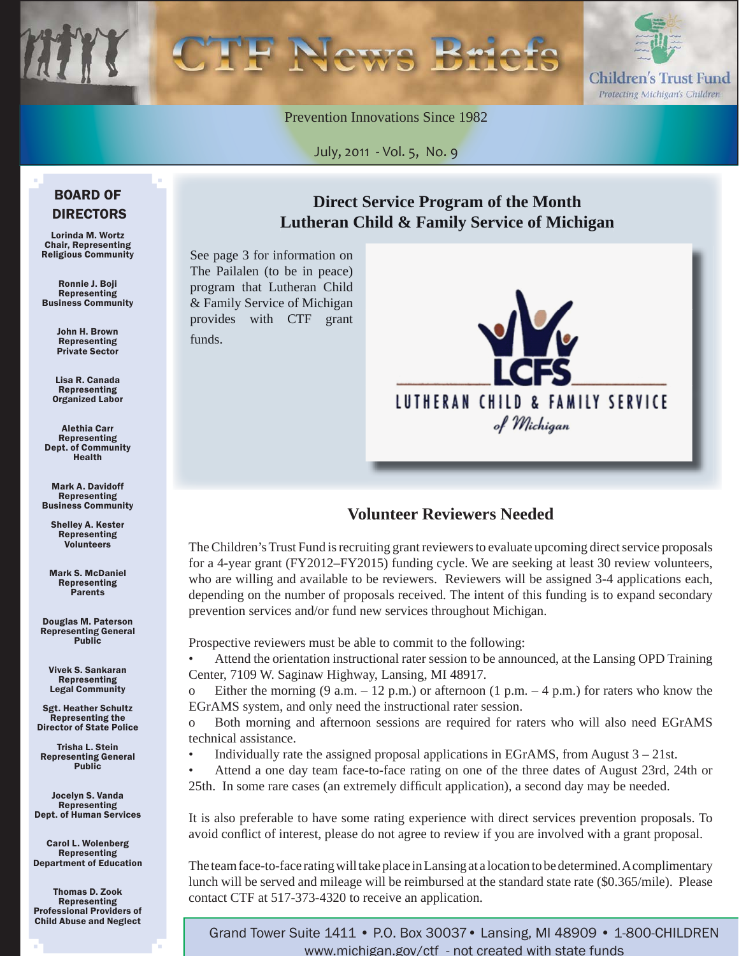

Prevention Innovations Since 1982

July, 2011 - Vol. 5, No. 9

## **Direct Service Program of the Month [Lutheran Child & Family Service of Michigan](www.lcfsmi.org)**

See page 3 for information on The Pailalen (to be in peace) program that Lutheran Child & Family Service of Michigan provides with CTF grant funds.



### **Volunteer Reviewers Needed**

The Children's Trust Fund is recruiting grant reviewers to evaluate upcoming direct service proposals for a 4-year grant (FY2012–FY2015) funding cycle. We are seeking at least 30 review volunteers, who are willing and available to be reviewers. Reviewers will be assigned 3-4 applications each, depending on the number of proposals received. The intent of this funding is to expand secondary prevention services and/or fund new services throughout Michigan.

Prospective reviewers must be able to commit to the following:

• Attend the orientation instructional rater session to be announced, at the Lansing OPD Training Center, 7109 W. Saginaw Highway, Lansing, MI 48917.

o Either the morning  $(9 \text{ a.m.} - 12 \text{ p.m.})$  or afternoon  $(1 \text{ p.m.} - 4 \text{ p.m.})$  for raters who know the EGrAMS system, and only need the instructional rater session.

o Both morning and afternoon sessions are required for raters who will also need EGrAMS technical assistance.

Individually rate the assigned proposal applications in EGrAMS, from August  $3 - 21$ st.

• Attend a one day team face-to-face rating on one of the three dates of August 23rd, 24th or 25th. In some rare cases (an extremely difficult application), a second day may be needed.

It is also preferable to have some rating experience with direct services prevention proposals. To avoid conflict of interest, please do not agree to review if you are involved with a grant proposal.

The team face-to-face rating will take place in Lansing at a location to be determined. A complimentary lunch will be served and mileage will be reimbursed at the standard state rate (\$0.365/mile). Please contact CTF at 517-373-4320 to receive an application.

Grand Tower Suite 1411 • P.O. Box 30037• Lansing, MI 48909 • 1-800-CHILDREN www.michigan.gov/ctf - not created with state funds

#### BOARD OF DIRECTORS

Lorinda M. Wortz Chair, Representing Religious Community

Ronnie J. Boji Representing Business Community

> John H. Brown Representing Private Sector

Lisa R. Canada Representing Organized Labor

Alethia Carr Representing Dept. of Community Health

Mark A. Davidoff Representing Business Community

Shelley A. Kester Representing Volunteers

Mark S. McDaniel Representing Parents

Douglas M. Paterson Representing General Public

Vivek S. Sankaran Representing Legal Community

Sgt. Heather Schultz Representing the Director of State Police

Trisha L. Stein Representing General **Public** 

Jocelyn S. Vanda Representing Dept. of Human Services

Carol L. Wolenberg Representing Department of Education

Thomas D. Zook Representing Professional Providers of Child Abuse and Neglect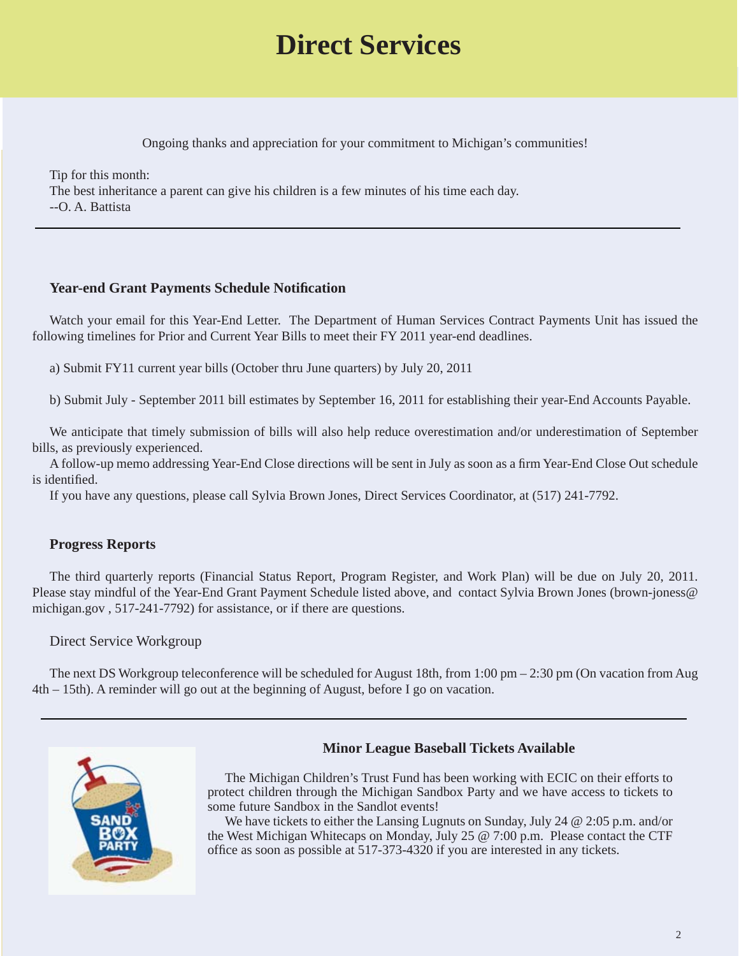# **Direct Services**

Ongoing thanks and appreciation for your commitment to Michigan's communities!

Tip for this month: The best inheritance a parent can give his children is a few minutes of his time each day. --O. A. Battista

#### **Year-end Grant Payments Schedule Notifi cation**

Watch your email for this Year-End Letter. The Department of Human Services Contract Payments Unit has issued the following timelines for Prior and Current Year Bills to meet their FY 2011 year-end deadlines.

a) Submit FY11 current year bills (October thru June quarters) by July 20, 2011

b) Submit July - September 2011 bill estimates by September 16, 2011 for establishing their year-End Accounts Payable.

We anticipate that timely submission of bills will also help reduce overestimation and/or underestimation of September bills, as previously experienced.

A follow-up memo addressing Year-End Close directions will be sent in July as soon as a firm Year-End Close Out schedule is identified.

If you have any questions, please call Sylvia Brown Jones, Direct Services Coordinator, at (517) 241-7792.

#### **Progress Reports**

The third quarterly reports (Financial Status Report, Program Register, and Work Plan) will be due on July 20, 2011. Please stay mindful of the Year-End Grant Payment Schedule listed above, and contact Sylvia Brown Jones (brown-joness@ michigan.gov , 517-241-7792) for assistance, or if there are questions.

#### Direct Service Workgroup

The next DS Workgroup teleconference will be scheduled for August 18th, from 1:00 pm – 2:30 pm (On vacation from Aug 4th – 15th). A reminder will go out at the beginning of August, before I go on vacation.



#### **Minor League Baseball Tickets Available**

The Michigan Children's Trust Fund has been working with ECIC on their efforts to protect children through the Michigan Sandbox Party and we have access to tickets to some future Sandbox in the Sandlot events!

We have tickets to either the Lansing Lugnuts on Sunday, July 24 @ 2:05 p.m. and/or the West Michigan Whitecaps on Monday, July 25 @ 7:00 p.m. Please contact the CTF office as soon as possible at 517-373-4320 if you are interested in any tickets.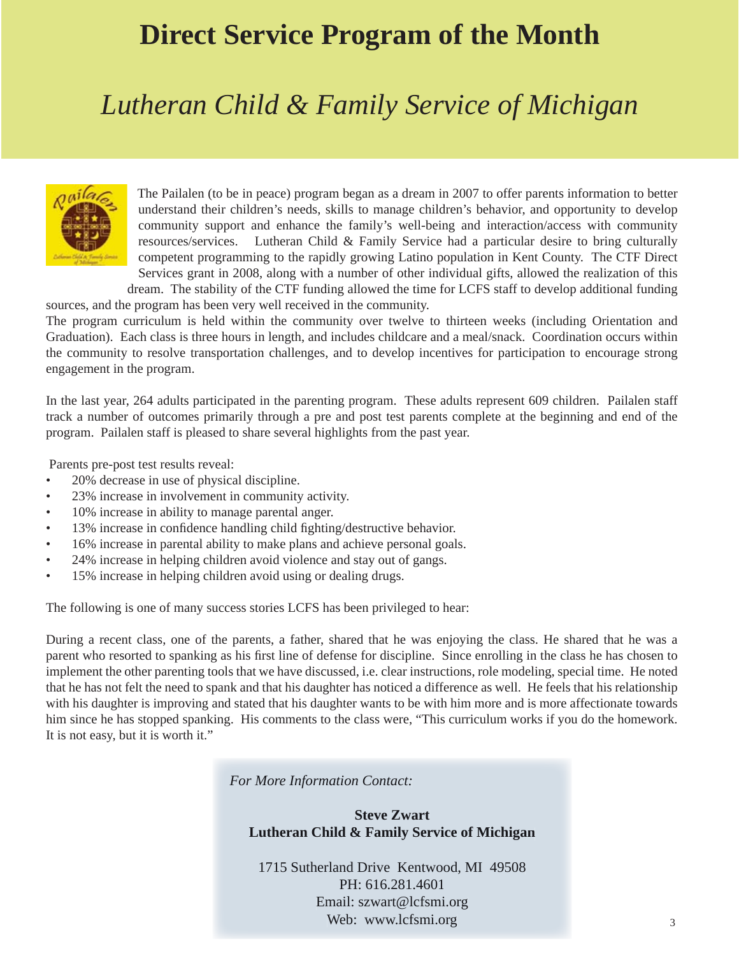# **Direct Service Program of the Month**

# *Lutheran Child & Family Service of Michigan*



 The Pailalen (to be in peace) program began as a dream in 2007 to offer parents information to better understand their children's needs, skills to manage children's behavior, and opportunity to develop community support and enhance the family's well-being and interaction/access with community resources/services. Lutheran Child & Family Service had a particular desire to bring culturally competent programming to the rapidly growing Latino population in Kent County. The CTF Direct Services grant in 2008, along with a number of other individual gifts, allowed the realization of this dream. The stability of the CTF funding allowed the time for LCFS staff to develop additional funding

sources, and the program has been very well received in the community.

The program curriculum is held within the community over twelve to thirteen weeks (including Orientation and Graduation). Each class is three hours in length, and includes childcare and a meal/snack. Coordination occurs within the community to resolve transportation challenges, and to develop incentives for participation to encourage strong engagement in the program.

In the last year, 264 adults participated in the parenting program. These adults represent 609 children. Pailalen staff track a number of outcomes primarily through a pre and post test parents complete at the beginning and end of the program. Pailalen staff is pleased to share several highlights from the past year.

Parents pre-post test results reveal:

- 20% decrease in use of physical discipline.
- 23% increase in involvement in community activity.
- 10% increase in ability to manage parental anger.
- 13% increase in confidence handling child fighting/destructive behavior.
- 16% increase in parental ability to make plans and achieve personal goals.
- 24% increase in helping children avoid violence and stay out of gangs.
- 15% increase in helping children avoid using or dealing drugs.

The following is one of many success stories LCFS has been privileged to hear:

During a recent class, one of the parents, a father, shared that he was enjoying the class. He shared that he was a parent who resorted to spanking as his first line of defense for discipline. Since enrolling in the class he has chosen to implement the other parenting tools that we have discussed, i.e. clear instructions, role modeling, special time. He noted that he has not felt the need to spank and that his daughter has noticed a difference as well. He feels that his relationship with his daughter is improving and stated that his daughter wants to be with him more and is more affectionate towards him since he has stopped spanking. His comments to the class were, "This curriculum works if you do the homework. It is not easy, but it is worth it."

*For More Information Contact:*

#### **Steve Zwart Lutheran Child & Family Service of Michigan**

1715 Sutherland Drive Kentwood, MI 49508 PH: 616.281.4601 Email: szwart@lcfsmi.org Web: www.lcfsmi.org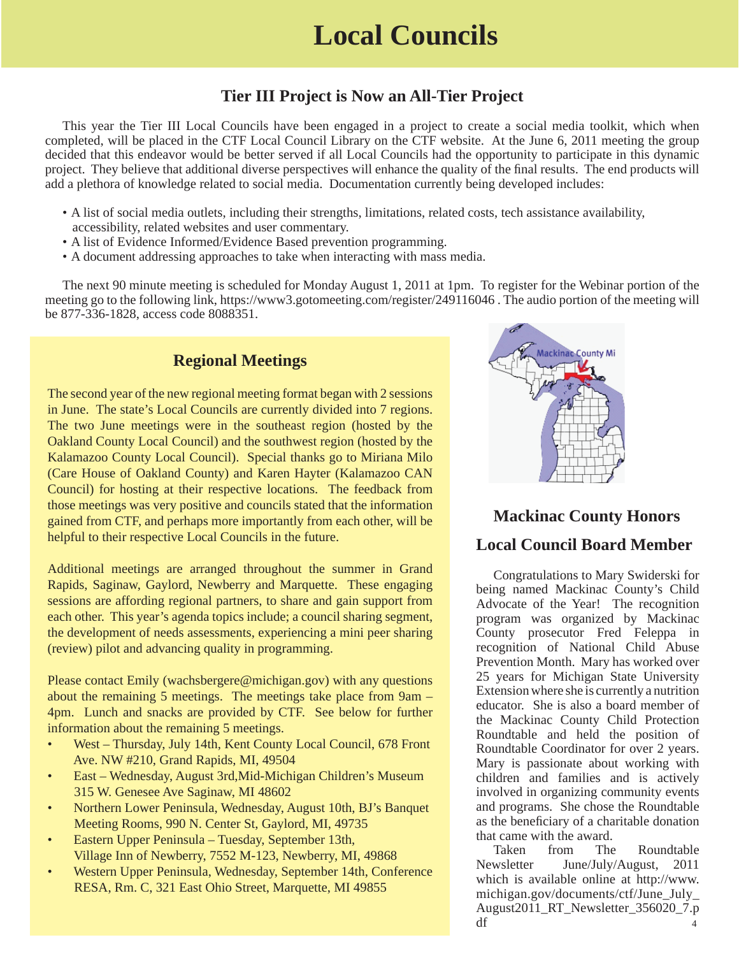### **Tier III Project is Now an All-Tier Project**

This year the Tier III Local Councils have been engaged in a project to create a social media toolkit, which when completed, will be placed in the CTF Local Council Library on the CTF website. At the June 6, 2011 meeting the group decided that this endeavor would be better served if all Local Councils had the opportunity to participate in this dynamic project. They believe that additional diverse perspectives will enhance the quality of the final results. The end products will add a plethora of knowledge related to social media. Documentation currently being developed includes:

- A list of social media outlets, including their strengths, limitations, related costs, tech assistance availability, accessibility, related websites and user commentary.
- A list of Evidence Informed/Evidence Based prevention programming.
- A document addressing approaches to take when interacting with mass media.

The next 90 minute meeting is scheduled for Monday August 1, 2011 at 1pm. To register for the Webinar portion of the meeting go to the following link, https://www3.gotomeeting.com/register/249116046 . The audio portion of the meeting will be 877-336-1828, access code 8088351.

### **Regional Meetings**

The second year of the new regional meeting format began with 2 sessions in June. The state's Local Councils are currently divided into 7 regions. The two June meetings were in the southeast region (hosted by the Oakland County Local Council) and the southwest region (hosted by the Kalamazoo County Local Council). Special thanks go to Miriana Milo (Care House of Oakland County) and Karen Hayter (Kalamazoo CAN Council) for hosting at their respective locations. The feedback from those meetings was very positive and councils stated that the information gained from CTF, and perhaps more importantly from each other, will be helpful to their respective Local Councils in the future.

Additional meetings are arranged throughout the summer in Grand Rapids, Saginaw, Gaylord, Newberry and Marquette. These engaging sessions are affording regional partners, to share and gain support from each other. This year's agenda topics include; a council sharing segment, the development of needs assessments, experiencing a mini peer sharing (review) pilot and advancing quality in programming.

Please contact Emily (wachsbergere@michigan.gov) with any questions about the remaining 5 meetings. The meetings take place from 9am – 4pm. Lunch and snacks are provided by CTF. See below for further information about the remaining 5 meetings.

- West Thursday, July 14th, Kent County Local Council, 678 Front Ave. NW #210, Grand Rapids, MI, 49504
- East Wednesday, August 3rd,Mid-Michigan Children's Museum 315 W. Genesee Ave Saginaw, MI 48602
- Northern Lower Peninsula, Wednesday, August 10th, BJ's Banquet Meeting Rooms, 990 N. Center St, Gaylord, MI, 49735
- Eastern Upper Peninsula Tuesday, September 13th, Village Inn of Newberry, 7552 M-123, Newberry, MI, 49868
- Western Upper Peninsula, Wednesday, September 14th, Conference RESA, Rm. C, 321 East Ohio Street, Marquette, MI 49855



### **Mackinac County Honors**

### **Local Council Board Member**

Congratulations to Mary Swiderski for being named Mackinac County's Child Advocate of the Year! The recognition program was organized by Mackinac County prosecutor Fred Feleppa in recognition of National Child Abuse Prevention Month. Mary has worked over 25 years for Michigan State University Extension where she is currently a nutrition educator. She is also a board member of the Mackinac County Child Protection Roundtable and held the position of Roundtable Coordinator for over 2 years. Mary is passionate about working with children and families and is actively involved in organizing community events and programs. She chose the Roundtable as the beneficiary of a charitable donation that came with the award.

Taken from The Roundtable Newsletter June/July/August, 2011 [which is available online at http://www.](www.michigan.gov/documents/ctf/June_July_August2011_RT_Newsletter_356020_7.pdf) michigan.gov/documents/ctf/June\_July\_ August2011\_RT\_Newsletter\_356020\_7.p  $df$  4